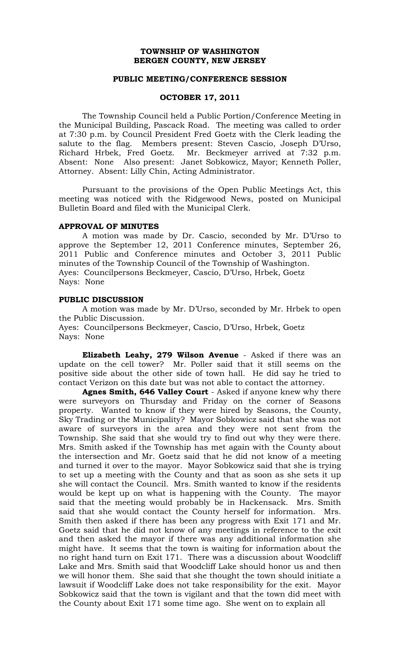## **TOWNSHIP OF WASHINGTON BERGEN COUNTY, NEW JERSEY**

#### **PUBLIC MEETING/CONFERENCE SESSION**

## **OCTOBER 17, 2011**

The Township Council held a Public Portion/Conference Meeting in the Municipal Building, Pascack Road. The meeting was called to order at 7:30 p.m. by Council President Fred Goetz with the Clerk leading the salute to the flag. Members present: Steven Cascio, Joseph D'Urso, Richard Hrbek, Fred Goetz. Mr. Beckmeyer arrived at 7:32 p.m. Absent: None Also present: Janet Sobkowicz, Mayor; Kenneth Poller, Attorney. Absent: Lilly Chin, Acting Administrator.

Pursuant to the provisions of the Open Public Meetings Act, this meeting was noticed with the Ridgewood News, posted on Municipal Bulletin Board and filed with the Municipal Clerk.

# **APPROVAL OF MINUTES**

A motion was made by Dr. Cascio, seconded by Mr. D'Urso to approve the September 12, 2011 Conference minutes, September 26, 2011 Public and Conference minutes and October 3, 2011 Public minutes of the Township Council of the Township of Washington. Ayes: Councilpersons Beckmeyer, Cascio, D'Urso, Hrbek, Goetz Nays: None

## **PUBLIC DISCUSSION**

A motion was made by Mr. D'Urso, seconded by Mr. Hrbek to open the Public Discussion. Ayes: Councilpersons Beckmeyer, Cascio, D'Urso, Hrbek, Goetz

Nays: None

**Elizabeth Leahy, 279 Wilson Avenue** - Asked if there was an update on the cell tower? Mr. Poller said that it still seems on the positive side about the other side of town hall. He did say he tried to contact Verizon on this date but was not able to contact the attorney.

**Agnes Smith, 646 Valley Court** - Asked if anyone knew why there were surveyors on Thursday and Friday on the corner of Seasons property. Wanted to know if they were hired by Seasons, the County, Sky Trading or the Municipality? Mayor Sobkowicz said that she was not aware of surveyors in the area and they were not sent from the Township. She said that she would try to find out why they were there. Mrs. Smith asked if the Township has met again with the County about the intersection and Mr. Goetz said that he did not know of a meeting and turned it over to the mayor. Mayor Sobkowicz said that she is trying to set up a meeting with the County and that as soon as she sets it up she will contact the Council. Mrs. Smith wanted to know if the residents would be kept up on what is happening with the County. The mayor said that the meeting would probably be in Hackensack. Mrs. Smith said that she would contact the County herself for information. Mrs. Smith then asked if there has been any progress with Exit 171 and Mr. Goetz said that he did not know of any meetings in reference to the exit and then asked the mayor if there was any additional information she might have. It seems that the town is waiting for information about the no right hand turn on Exit 171. There was a discussion about Woodcliff Lake and Mrs. Smith said that Woodcliff Lake should honor us and then we will honor them. She said that she thought the town should initiate a lawsuit if Woodcliff Lake does not take responsibility for the exit. Mayor Sobkowicz said that the town is vigilant and that the town did meet with the County about Exit 171 some time ago. She went on to explain all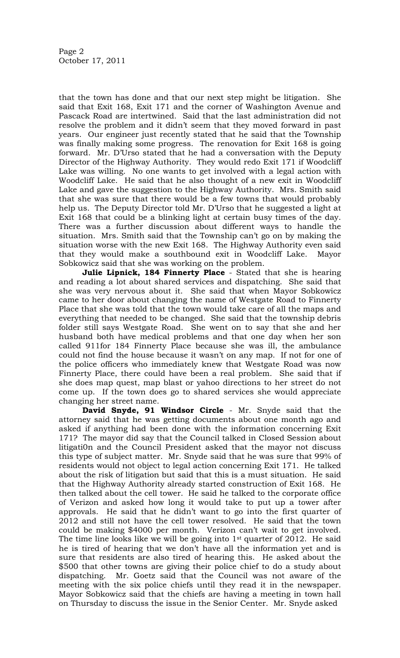that the town has done and that our next step might be litigation. She said that Exit 168, Exit 171 and the corner of Washington Avenue and Pascack Road are intertwined. Said that the last administration did not resolve the problem and it didn't seem that they moved forward in past years. Our engineer just recently stated that he said that the Township was finally making some progress. The renovation for Exit 168 is going forward. Mr. D'Urso stated that he had a conversation with the Deputy Director of the Highway Authority. They would redo Exit 171 if Woodcliff Lake was willing. No one wants to get involved with a legal action with Woodcliff Lake. He said that he also thought of a new exit in Woodcliff Lake and gave the suggestion to the Highway Authority. Mrs. Smith said that she was sure that there would be a few towns that would probably help us. The Deputy Director told Mr. D'Urso that he suggested a light at Exit 168 that could be a blinking light at certain busy times of the day. There was a further discussion about different ways to handle the situation. Mrs. Smith said that the Township can't go on by making the situation worse with the new Exit 168. The Highway Authority even said that they would make a southbound exit in Woodcliff Lake. Mayor Sobkowicz said that she was working on the problem.

**Julie Lipnick, 184 Finnerty Place** - Stated that she is hearing and reading a lot about shared services and dispatching. She said that she was very nervous about it. She said that when Mayor Sobkowicz came to her door about changing the name of Westgate Road to Finnerty Place that she was told that the town would take care of all the maps and everything that needed to be changed. She said that the township debris folder still says Westgate Road. She went on to say that she and her husband both have medical problems and that one day when her son called 911for 184 Finnerty Place because she was ill, the ambulance could not find the house because it wasn't on any map. If not for one of the police officers who immediately knew that Westgate Road was now Finnerty Place, there could have been a real problem. She said that if she does map quest, map blast or yahoo directions to her street do not come up. If the town does go to shared services she would appreciate changing her street name.

**David Snyde, 91 Windsor Circle** - Mr. Snyde said that the attorney said that he was getting documents about one month ago and asked if anything had been done with the information concerning Exit 171? The mayor did say that the Council talked in Closed Session about litigati0n and the Council President asked that the mayor not discuss this type of subject matter. Mr. Snyde said that he was sure that 99% of residents would not object to legal action concerning Exit 171. He talked about the risk of litigation but said that this is a must situation. He said that the Highway Authority already started construction of Exit 168. He then talked about the cell tower. He said he talked to the corporate office of Verizon and asked how long it would take to put up a tower after approvals. He said that he didn't want to go into the first quarter of 2012 and still not have the cell tower resolved. He said that the town could be making \$4000 per month. Verizon can't wait to get involved. The time line looks like we will be going into  $1<sup>st</sup>$  quarter of 2012. He said he is tired of hearing that we don't have all the information yet and is sure that residents are also tired of hearing this. He asked about the \$500 that other towns are giving their police chief to do a study about dispatching. Mr. Goetz said that the Council was not aware of the meeting with the six police chiefs until they read it in the newspaper. Mayor Sobkowicz said that the chiefs are having a meeting in town hall on Thursday to discuss the issue in the Senior Center. Mr. Snyde asked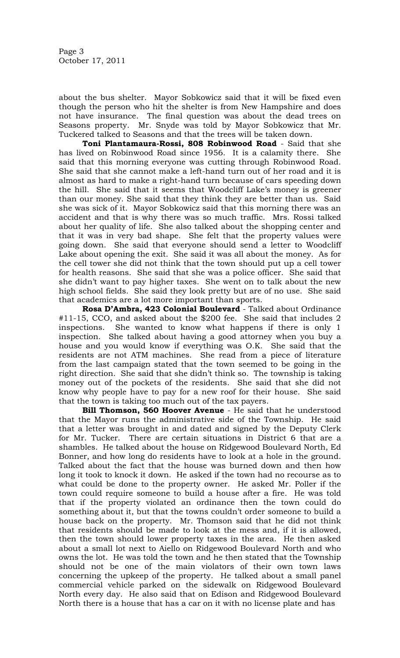Page 3 October 17, 2011

about the bus shelter. Mayor Sobkowicz said that it will be fixed even though the person who hit the shelter is from New Hampshire and does not have insurance. The final question was about the dead trees on Seasons property. Mr. Snyde was told by Mayor Sobkowicz that Mr. Tuckered talked to Seasons and that the trees will be taken down.

**Toni Plantamaura-Rossi, 808 Robinwood Road** - Said that she has lived on Robinwood Road since 1956. It is a calamity there. She said that this morning everyone was cutting through Robinwood Road. She said that she cannot make a left-hand turn out of her road and it is almost as hard to make a right-hand turn because of cars speeding down the hill. She said that it seems that Woodcliff Lake's money is greener than our money. She said that they think they are better than us. Said she was sick of it. Mayor Sobkowicz said that this morning there was an accident and that is why there was so much traffic. Mrs. Rossi talked about her quality of life. She also talked about the shopping center and that it was in very bad shape. She felt that the property values were going down. She said that everyone should send a letter to Woodcliff Lake about opening the exit. She said it was all about the money. As for the cell tower she did not think that the town should put up a cell tower for health reasons. She said that she was a police officer. She said that she didn't want to pay higher taxes. She went on to talk about the new high school fields. She said they look pretty but are of no use. She said that academics are a lot more important than sports.

**Rosa D'Ambra, 423 Colonial Boulevard** - Talked about Ordinance #11-15, CCO, and asked about the \$200 fee. She said that includes 2 inspections. She wanted to know what happens if there is only 1 inspection. She talked about having a good attorney when you buy a house and you would know if everything was O.K. She said that the residents are not ATM machines. She read from a piece of literature from the last campaign stated that the town seemed to be going in the right direction. She said that she didn't think so. The township is taking money out of the pockets of the residents. She said that she did not know why people have to pay for a new roof for their house. She said that the town is taking too much out of the tax payers.

**Bill Thomson, 560 Hoover Avenue** - He said that he understood that the Mayor runs the administrative side of the Township. He said that a letter was brought in and dated and signed by the Deputy Clerk for Mr. Tucker. There are certain situations in District 6 that are a shambles. He talked about the house on Ridgewood Boulevard North, Ed Bonner, and how long do residents have to look at a hole in the ground. Talked about the fact that the house was burned down and then how long it took to knock it down. He asked if the town had no recourse as to what could be done to the property owner. He asked Mr. Poller if the town could require someone to build a house after a fire. He was told that if the property violated an ordinance then the town could do something about it, but that the towns couldn't order someone to build a house back on the property. Mr. Thomson said that he did not think that residents should be made to look at the mess and, if it is allowed, then the town should lower property taxes in the area. He then asked about a small lot next to Aiello on Ridgewood Boulevard North and who owns the lot. He was told the town and he then stated that the Township should not be one of the main violators of their own town laws concerning the upkeep of the property. He talked about a small panel commercial vehicle parked on the sidewalk on Ridgewood Boulevard North every day. He also said that on Edison and Ridgewood Boulevard North there is a house that has a car on it with no license plate and has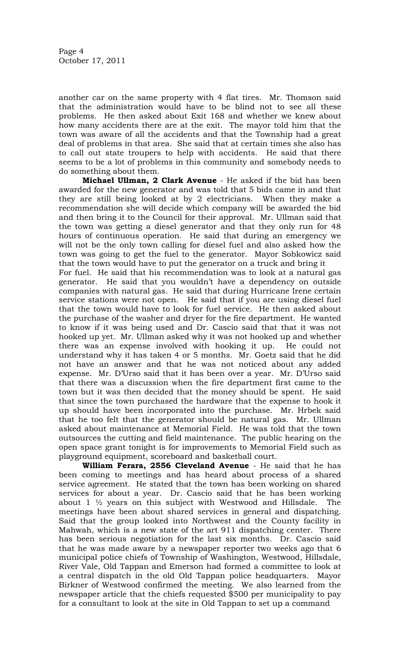another car on the same property with 4 flat tires. Mr. Thomson said that the administration would have to be blind not to see all these problems. He then asked about Exit 168 and whether we knew about how many accidents there are at the exit. The mayor told him that the town was aware of all the accidents and that the Township had a great deal of problems in that area. She said that at certain times she also has to call out state troupers to help with accidents. He said that there seems to be a lot of problems in this community and somebody needs to do something about them.

**Michael Ullman, 2 Clark Avenue** - He asked if the bid has been awarded for the new generator and was told that 5 bids came in and that they are still being looked at by 2 electricians. When they make a recommendation she will decide which company will be awarded the bid and then bring it to the Council for their approval. Mr. Ullman said that the town was getting a diesel generator and that they only run for 48 hours of continuous operation. He said that during an emergency we will not be the only town calling for diesel fuel and also asked how the town was going to get the fuel to the generator. Mayor Sobkowicz said that the town would have to put the generator on a truck and bring it For fuel. He said that his recommendation was to look at a natural gas generator. He said that you wouldn't have a dependency on outside companies with natural gas. He said that during Hurricane Irene certain service stations were not open. He said that if you are using diesel fuel that the town would have to look for fuel service. He then asked about the purchase of the washer and dryer for the fire department. He wanted to know if it was being used and Dr. Cascio said that that it was not hooked up yet. Mr. Ullman asked why it was not hooked up and whether there was an expense involved with hooking it up. He could not understand why it has taken 4 or 5 months. Mr. Goetz said that he did not have an answer and that he was not noticed about any added expense. Mr. D'Urso said that it has been over a year. Mr. D'Urso said that there was a discussion when the fire department first came to the town but it was then decided that the money should be spent. He said that since the town purchased the hardware that the expense to hook it up should have been incorporated into the purchase. Mr. Hrbek said that he too felt that the generator should be natural gas. Mr. Ullman asked about maintenance at Memorial Field. He was told that the town outsources the cutting and field maintenance. The public hearing on the open space grant tonight is for improvements to Memorial Field such as playground equipment, scoreboard and basketball court.

**William Ferara, 2556 Cleveland Avenue** - He said that he has been coming to meetings and has heard about process of a shared service agreement. He stated that the town has been working on shared services for about a year. Dr. Cascio said that he has been working about  $1\frac{1}{2}$  years on this subject with Westwood and Hillsdale. The meetings have been about shared services in general and dispatching. Said that the group looked into Northwest and the County facility in Mahwah, which is a new state of the art 911 dispatching center. There has been serious negotiation for the last six months. Dr. Cascio said that he was made aware by a newspaper reporter two weeks ago that 6 municipal police chiefs of Township of Washington, Westwood, Hillsdale, River Vale, Old Tappan and Emerson had formed a committee to look at a central dispatch in the old Old Tappan police headquarters. Mayor Birkner of Westwood confirmed the meeting. We also learned from the newspaper article that the chiefs requested \$500 per municipality to pay for a consultant to look at the site in Old Tappan to set up a command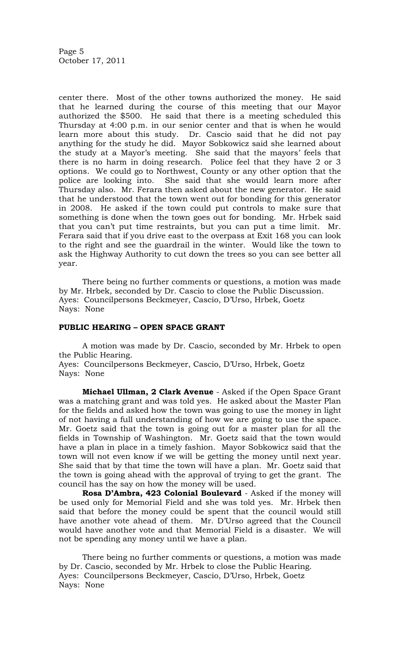Page 5 October 17, 2011

center there. Most of the other towns authorized the money. He said that he learned during the course of this meeting that our Mayor authorized the \$500. He said that there is a meeting scheduled this Thursday at 4:00 p.m. in our senior center and that is when he would learn more about this study. Dr. Cascio said that he did not pay anything for the study he did. Mayor Sobkowicz said she learned about the study at a Mayor's meeting. She said that the mayors' feels that there is no harm in doing research. Police feel that they have 2 or 3 options. We could go to Northwest, County or any other option that the police are looking into. She said that she would learn more after Thursday also. Mr. Ferara then asked about the new generator. He said that he understood that the town went out for bonding for this generator in 2008. He asked if the town could put controls to make sure that something is done when the town goes out for bonding. Mr. Hrbek said that you can't put time restraints, but you can put a time limit. Mr. Ferara said that if you drive east to the overpass at Exit 168 you can look to the right and see the guardrail in the winter. Would like the town to ask the Highway Authority to cut down the trees so you can see better all year.

There being no further comments or questions, a motion was made by Mr. Hrbek, seconded by Dr. Cascio to close the Public Discussion. Ayes: Councilpersons Beckmeyer, Cascio, D'Urso, Hrbek, Goetz Nays: None

### **PUBLIC HEARING – OPEN SPACE GRANT**

A motion was made by Dr. Cascio, seconded by Mr. Hrbek to open the Public Hearing.

Ayes: Councilpersons Beckmeyer, Cascio, D'Urso, Hrbek, Goetz Nays: None

**Michael Ullman, 2 Clark Avenue** - Asked if the Open Space Grant was a matching grant and was told yes. He asked about the Master Plan for the fields and asked how the town was going to use the money in light of not having a full understanding of how we are going to use the space. Mr. Goetz said that the town is going out for a master plan for all the fields in Township of Washington. Mr. Goetz said that the town would have a plan in place in a timely fashion. Mayor Sobkowicz said that the town will not even know if we will be getting the money until next year. She said that by that time the town will have a plan. Mr. Goetz said that the town is going ahead with the approval of trying to get the grant. The council has the say on how the money will be used.

**Rosa D'Ambra, 423 Colonial Boulevard** - Asked if the money will be used only for Memorial Field and she was told yes. Mr. Hrbek then said that before the money could be spent that the council would still have another vote ahead of them. Mr. D'Urso agreed that the Council would have another vote and that Memorial Field is a disaster. We will not be spending any money until we have a plan.

There being no further comments or questions, a motion was made by Dr. Cascio, seconded by Mr. Hrbek to close the Public Hearing. Ayes: Councilpersons Beckmeyer, Cascio, D'Urso, Hrbek, Goetz Nays: None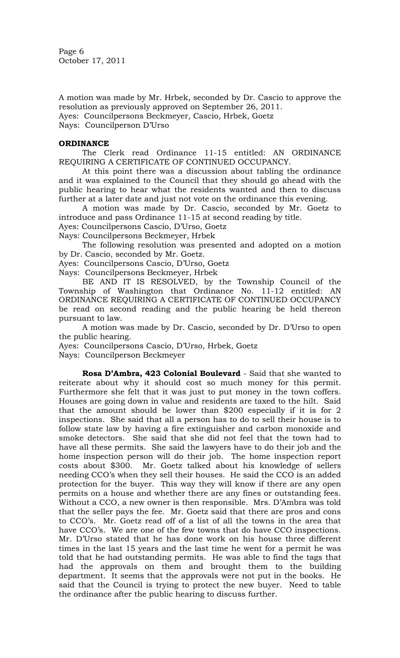Page 6 October 17, 2011

A motion was made by Mr. Hrbek, seconded by Dr. Cascio to approve the resolution as previously approved on September 26, 2011. Ayes: Councilpersons Beckmeyer, Cascio, Hrbek, Goetz Nays: Councilperson D'Urso

# **ORDINANCE**

The Clerk read Ordinance 11-15 entitled: AN ORDINANCE REQUIRING A CERTIFICATE OF CONTINUED OCCUPANCY.

At this point there was a discussion about tabling the ordinance and it was explained to the Council that they should go ahead with the public hearing to hear what the residents wanted and then to discuss further at a later date and just not vote on the ordinance this evening.

A motion was made by Dr. Cascio, seconded by Mr. Goetz to introduce and pass Ordinance 11-15 at second reading by title.

Ayes: Councilpersons Cascio, D'Urso, Goetz

Nays: Councilpersons Beckmeyer, Hrbek

The following resolution was presented and adopted on a motion by Dr. Cascio, seconded by Mr. Goetz.

Ayes: Councilpersons Cascio, D'Urso, Goetz

Nays: Councilpersons Beckmeyer, Hrbek

BE AND IT IS RESOLVED, by the Township Council of the Township of Washington that Ordinance No. 11-12 entitled: AN ORDINANCE REQUIRING A CERTIFICATE OF CONTINUED OCCUPANCY be read on second reading and the public hearing be held thereon pursuant to law.

A motion was made by Dr. Cascio, seconded by Dr. D'Urso to open the public hearing.

Ayes: Councilpersons Cascio, D'Urso, Hrbek, Goetz

Nays: Councilperson Beckmeyer

**Rosa D'Ambra, 423 Colonial Boulevard** - Said that she wanted to reiterate about why it should cost so much money for this permit. Furthermore she felt that it was just to put money in the town coffers. Houses are going down in value and residents are taxed to the hilt. Said that the amount should be lower than \$200 especially if it is for 2 inspections. She said that all a person has to do to sell their house is to follow state law by having a fire extinguisher and carbon monoxide and smoke detectors. She said that she did not feel that the town had to have all these permits. She said the lawyers have to do their job and the home inspection person will do their job. The home inspection report costs about \$300. Mr. Goetz talked about his knowledge of sellers needing CCO's when they sell their houses. He said the CCO is an added protection for the buyer. This way they will know if there are any open permits on a house and whether there are any fines or outstanding fees. Without a CCO, a new owner is then responsible. Mrs. D'Ambra was told that the seller pays the fee. Mr. Goetz said that there are pros and cons to CCO's. Mr. Goetz read off of a list of all the towns in the area that have CCO's. We are one of the few towns that do have CCO inspections. Mr. D'Urso stated that he has done work on his house three different times in the last 15 years and the last time he went for a permit he was told that he had outstanding permits. He was able to find the tags that had the approvals on them and brought them to the building department. It seems that the approvals were not put in the books. He said that the Council is trying to protect the new buyer. Need to table the ordinance after the public hearing to discuss further.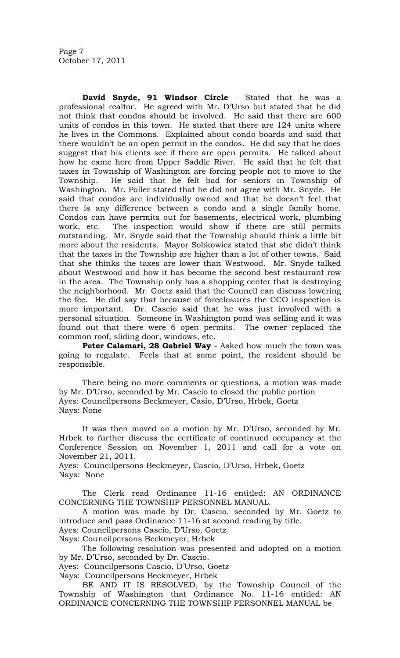**David Snyde, 91 Windsor Circle** - Stated that he was a professional realtor. He agreed with Mr. D'Urso but stated that he did not think that condos should be involved. He said that there are 600 units of condos in this town. He stated that there are 124 units where he lives in the Commons. Explained about condo boards and said that there wouldn't be an open permit in the condos. He did say that he does suggest that his clients see if there are open permits. He talked about how he came here from Upper Saddle River. He said that he felt that taxes in Township of Washington are forcing people not to move to the Township. He said that he felt bad for seniors in Township of Washington. Mr. Poller stated that he did not agree with Mr. Snyde. He said that condos are individually owned and that he doesn't feel that there is any difference between a condo and a single family home. Condos can have permits out for basements, electrical work, plumbing work, etc. The inspection would show if there are still permits outstanding. Mr. Snyde said that the Township should think a little bit more about the residents. Mayor Sobkowicz stated that she didn't think that the taxes in the Township are higher than a lot of other towns. Said that she thinks the taxes are lower than Westwood. Mr. Snyde talked about Westwood and how it has become the second best restaurant row in the area. The Township only has a shopping center that is destroying the neighborhood. Mr. Goetz said that the Council can discuss lowering the fee. He did say that because of foreclosures the CCO inspection is more important. Dr. Cascio said that he was just involved with a personal situation. Someone in Washington pond was selling and it was found out that there were 6 open permits. The owner replaced the common roof, sliding door, windows, etc.

**Peter Calamari, 28 Gabriel Way** - Asked how much the town was going to regulate. Feels that at some point, the resident should be responsible.

There being no more comments or questions, a motion was made by Mr. D'Urso, seconded by Mr. Cascio to closed the public portion Ayes: Councilpersons Beckmeyer, Casio, D'Urso, Hrbek, Goetz Nays: None

It was then moved on a motion by Mr. D'Urso, seconded by Mr. Hrbek to further discuss the certificate of continued occupancy at the Conference Session on November 1, 2011 and call for a vote on November 21, 2011.

Ayes: Councilpersons Beckmeyer, Cascio, D'Urso, Hrbek, Goetz Nays: None

The Clerk read Ordinance 11-16 entitled: AN ORDINANCE CONCERNING THE TOWNSHIP PERSONNEL MANUAL.

A motion was made by Dr. Cascio, seconded by Mr. Goetz to introduce and pass Ordinance 11-16 at second reading by title.

Ayes: Councilpersons Cascio, D'Urso, Goetz

Nays: Councilpersons Beckmeyer, Hrbek

The following resolution was presented and adopted on a motion by Mr. D'Urso, seconded by Dr. Cascio.

Ayes: Councilpersons Cascio, D'Urso, Goetz

Nays: Councilpersons Beckmeyer, Hrbek

BE AND IT IS RESOLVED, by the Township Council of the Township of Washington that Ordinance No. 11-16 entitled: AN ORDINANCE CONCERNING THE TOWNSHIP PERSONNEL MANUAL be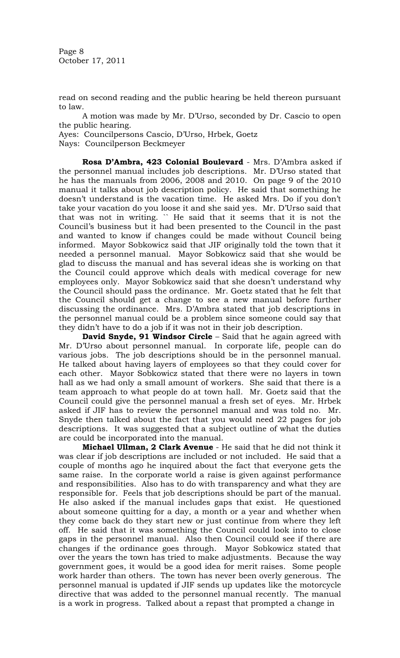Page 8 October 17, 2011

read on second reading and the public hearing be held thereon pursuant to law.

A motion was made by Mr. D'Urso, seconded by Dr. Cascio to open the public hearing.

Ayes: Councilpersons Cascio, D'Urso, Hrbek, Goetz

Nays: Councilperson Beckmeyer

**Rosa D'Ambra, 423 Colonial Boulevard** - Mrs. D'Ambra asked if the personnel manual includes job descriptions. Mr. D'Urso stated that he has the manuals from 2006, 2008 and 2010. On page 9 of the 2010 manual it talks about job description policy. He said that something he doesn't understand is the vacation time. He asked Mrs. Do if you don't take your vacation do you loose it and she said yes. Mr. D'Urso said that that was not in writing. `` He said that it seems that it is not the Council's business but it had been presented to the Council in the past and wanted to know if changes could be made without Council being informed. Mayor Sobkowicz said that JIF originally told the town that it needed a personnel manual. Mayor Sobkowicz said that she would be glad to discuss the manual and has several ideas she is working on that the Council could approve which deals with medical coverage for new employees only. Mayor Sobkowicz said that she doesn't understand why the Council should pass the ordinance. Mr. Goetz stated that he felt that the Council should get a change to see a new manual before further discussing the ordinance. Mrs. D'Ambra stated that job descriptions in the personnel manual could be a problem since someone could say that they didn't have to do a job if it was not in their job description.

**David Snyde, 91 Windsor Circle** – Said that he again agreed with Mr. D'Urso about personnel manual. In corporate life, people can do various jobs. The job descriptions should be in the personnel manual. He talked about having layers of employees so that they could cover for each other. Mayor Sobkowicz stated that there were no layers in town hall as we had only a small amount of workers. She said that there is a team approach to what people do at town hall. Mr. Goetz said that the Council could give the personnel manual a fresh set of eyes. Mr. Hrbek asked if JIF has to review the personnel manual and was told no. Mr. Snyde then talked about the fact that you would need 22 pages for job descriptions. It was suggested that a subject outline of what the duties are could be incorporated into the manual.

**Michael Ullman, 2 Clark Avenue** - He said that he did not think it was clear if job descriptions are included or not included. He said that a couple of months ago he inquired about the fact that everyone gets the same raise. In the corporate world a raise is given against performance and responsibilities. Also has to do with transparency and what they are responsible for. Feels that job descriptions should be part of the manual. He also asked if the manual includes gaps that exist. He questioned about someone quitting for a day, a month or a year and whether when they come back do they start new or just continue from where they left off. He said that it was something the Council could look into to close gaps in the personnel manual. Also then Council could see if there are changes if the ordinance goes through. Mayor Sobkowicz stated that over the years the town has tried to make adjustments. Because the way government goes, it would be a good idea for merit raises. Some people work harder than others. The town has never been overly generous. The personnel manual is updated if JIF sends up updates like the motorcycle directive that was added to the personnel manual recently. The manual is a work in progress. Talked about a repast that prompted a change in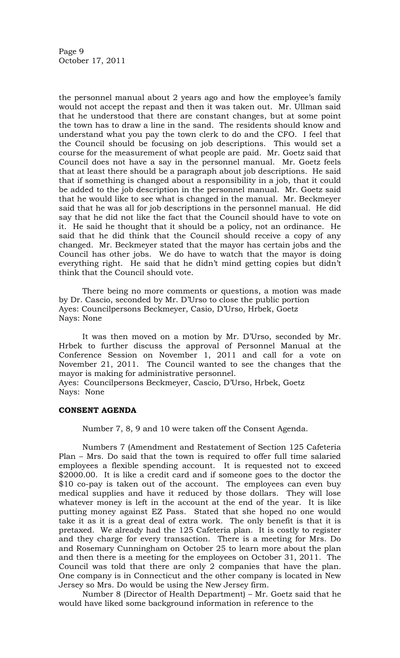Page 9 October 17, 2011

the personnel manual about 2 years ago and how the employee's family would not accept the repast and then it was taken out. Mr. Ullman said that he understood that there are constant changes, but at some point the town has to draw a line in the sand. The residents should know and understand what you pay the town clerk to do and the CFO. I feel that the Council should be focusing on job descriptions. This would set a course for the measurement of what people are paid. Mr. Goetz said that Council does not have a say in the personnel manual. Mr. Goetz feels that at least there should be a paragraph about job descriptions. He said that if something is changed about a responsibility in a job, that it could be added to the job description in the personnel manual. Mr. Goetz said that he would like to see what is changed in the manual. Mr. Beckmeyer said that he was all for job descriptions in the personnel manual. He did say that he did not like the fact that the Council should have to vote on it. He said he thought that it should be a policy, not an ordinance. He said that he did think that the Council should receive a copy of any changed. Mr. Beckmeyer stated that the mayor has certain jobs and the Council has other jobs. We do have to watch that the mayor is doing everything right. He said that he didn't mind getting copies but didn't think that the Council should vote.

There being no more comments or questions, a motion was made by Dr. Cascio, seconded by Mr. D'Urso to close the public portion Ayes: Councilpersons Beckmeyer, Casio, D'Urso, Hrbek, Goetz Nays: None

It was then moved on a motion by Mr. D'Urso, seconded by Mr. Hrbek to further discuss the approval of Personnel Manual at the Conference Session on November 1, 2011 and call for a vote on November 21, 2011. The Council wanted to see the changes that the mayor is making for administrative personnel. Ayes: Councilpersons Beckmeyer, Cascio, D'Urso, Hrbek, Goetz Nays: None

#### **CONSENT AGENDA**

Number 7, 8, 9 and 10 were taken off the Consent Agenda.

Numbers 7 (Amendment and Restatement of Section 125 Cafeteria Plan – Mrs. Do said that the town is required to offer full time salaried employees a flexible spending account. It is requested not to exceed \$2000.00. It is like a credit card and if someone goes to the doctor the \$10 co-pay is taken out of the account. The employees can even buy medical supplies and have it reduced by those dollars. They will lose whatever money is left in the account at the end of the year. It is like putting money against EZ Pass. Stated that she hoped no one would take it as it is a great deal of extra work. The only benefit is that it is pretaxed. We already had the 125 Cafeteria plan. It is costly to register and they charge for every transaction. There is a meeting for Mrs. Do and Rosemary Cunningham on October 25 to learn more about the plan and then there is a meeting for the employees on October 31, 2011. The Council was told that there are only 2 companies that have the plan. One company is in Connecticut and the other company is located in New Jersey so Mrs. Do would be using the New Jersey firm.

Number 8 (Director of Health Department) – Mr. Goetz said that he would have liked some background information in reference to the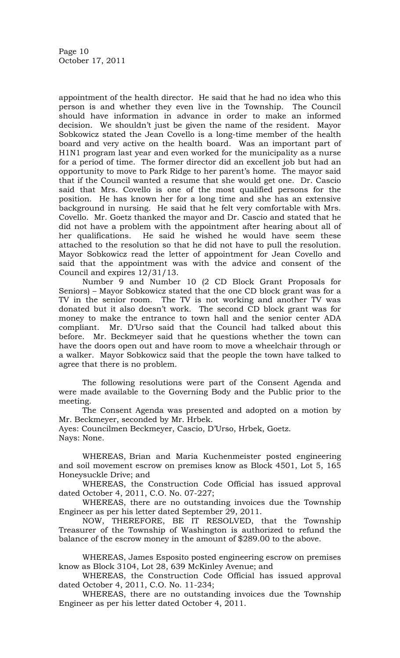appointment of the health director. He said that he had no idea who this person is and whether they even live in the Township. The Council should have information in advance in order to make an informed decision. We shouldn't just be given the name of the resident. Mayor Sobkowicz stated the Jean Covello is a long-time member of the health board and very active on the health board. Was an important part of H1N1 program last year and even worked for the municipality as a nurse for a period of time. The former director did an excellent job but had an opportunity to move to Park Ridge to her parent's home. The mayor said that if the Council wanted a resume that she would get one. Dr. Cascio said that Mrs. Covello is one of the most qualified persons for the position. He has known her for a long time and she has an extensive background in nursing. He said that he felt very comfortable with Mrs. Covello. Mr. Goetz thanked the mayor and Dr. Cascio and stated that he did not have a problem with the appointment after hearing about all of her qualifications. He said he wished he would have seem these attached to the resolution so that he did not have to pull the resolution. Mayor Sobkowicz read the letter of appointment for Jean Covello and said that the appointment was with the advice and consent of the Council and expires 12/31/13.

Number 9 and Number 10 (2 CD Block Grant Proposals for Seniors) – Mayor Sobkowicz stated that the one CD block grant was for a TV in the senior room. The TV is not working and another TV was donated but it also doesn't work. The second CD block grant was for money to make the entrance to town hall and the senior center ADA compliant. Mr. D'Urso said that the Council had talked about this before. Mr. Beckmeyer said that he questions whether the town can have the doors open out and have room to move a wheelchair through or a walker. Mayor Sobkowicz said that the people the town have talked to agree that there is no problem.

The following resolutions were part of the Consent Agenda and were made available to the Governing Body and the Public prior to the meeting.

The Consent Agenda was presented and adopted on a motion by Mr. Beckmeyer, seconded by Mr. Hrbek.

Ayes: Councilmen Beckmeyer, Cascio, D'Urso, Hrbek, Goetz. Nays: None.

WHEREAS, Brian and Maria Kuchenmeister posted engineering and soil movement escrow on premises know as Block 4501, Lot 5, 165 Honeysuckle Drive; and

WHEREAS, the Construction Code Official has issued approval dated October 4, 2011, C.O. No. 07-227;

WHEREAS, there are no outstanding invoices due the Township Engineer as per his letter dated September 29, 2011.

NOW, THEREFORE, BE IT RESOLVED, that the Township Treasurer of the Township of Washington is authorized to refund the balance of the escrow money in the amount of \$289.00 to the above.

WHEREAS, James Esposito posted engineering escrow on premises know as Block 3104, Lot 28, 639 McKinley Avenue; and

WHEREAS, the Construction Code Official has issued approval dated October 4, 2011, C.O. No. 11-234;

WHEREAS, there are no outstanding invoices due the Township Engineer as per his letter dated October 4, 2011.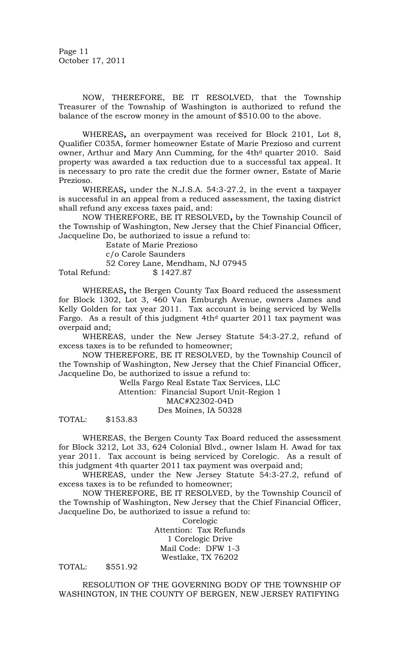Page 11 October 17, 2011

NOW, THEREFORE, BE IT RESOLVED, that the Township Treasurer of the Township of Washington is authorized to refund the balance of the escrow money in the amount of \$510.00 to the above.

WHEREAS*,* an overpayment was received for Block 2101, Lot 8, Qualifier C035A, former homeowner Estate of Marie Prezioso and current owner, Arthur and Mary Ann Cumming, for the 4th<sup>d</sup> quarter 2010. Said property was awarded a tax reduction due to a successful tax appeal. It is necessary to pro rate the credit due the former owner, Estate of Marie Prezioso.

WHEREAS*,* under the N.J.S.A. 54:3-27.2, in the event a taxpayer is successful in an appeal from a reduced assessment, the taxing district shall refund any excess taxes paid, and:

NOW THEREFORE, BE IT RESOLVED*,* by the Township Council of the Township of Washington, New Jersey that the Chief Financial Officer, Jacqueline Do, be authorized to issue a refund to:

Estate of Marie Prezioso c/o Carole Saunders 52 Corey Lane, Mendham, NJ 07945 Total Refund: \$ 1427.87

WHEREAS*,* the Bergen County Tax Board reduced the assessment for Block 1302, Lot 3, 460 Van Emburgh Avenue, owners James and Kelly Golden for tax year 2011. Tax account is being serviced by Wells Fargo. As a result of this judgment  $4th<sup>d</sup>$  quarter 2011 tax payment was overpaid and;

WHEREAS*,* under the New Jersey Statute 54:3-27.2, refund of excess taxes is to be refunded to homeowner;

NOW THEREFORE, BE IT RESOLVED, by the Township Council of the Township of Washington, New Jersey that the Chief Financial Officer, Jacqueline Do, be authorized to issue a refund to:

> Wells Fargo Real Estate Tax Services, LLC Attention: Financial Suport Unit-Region 1 MAC#X2302-04D Des Moines, IA 50328

TOTAL: \$153.83

WHEREAS, the Bergen County Tax Board reduced the assessment for Block 3212, Lot 33, 624 Colonial Blvd., owner Islam H. Awad for tax year 2011. Tax account is being serviced by Corelogic. As a result of this judgment 4th quarter 2011 tax payment was overpaid and;

WHEREAS, under the New Jersey Statute 54:3-27.2, refund of excess taxes is to be refunded to homeowner;

NOW THEREFORE, BE IT RESOLVED, by the Township Council of the Township of Washington, New Jersey that the Chief Financial Officer, Jacqueline Do, be authorized to issue a refund to:

Corelogic

Attention: Tax Refunds 1 Corelogic Drive Mail Code: DFW 1-3 Westlake, TX 76202

TOTAL: \$551.92

RESOLUTION OF THE GOVERNING BODY OF THE TOWNSHIP OF WASHINGTON, IN THE COUNTY OF BERGEN, NEW JERSEY RATIFYING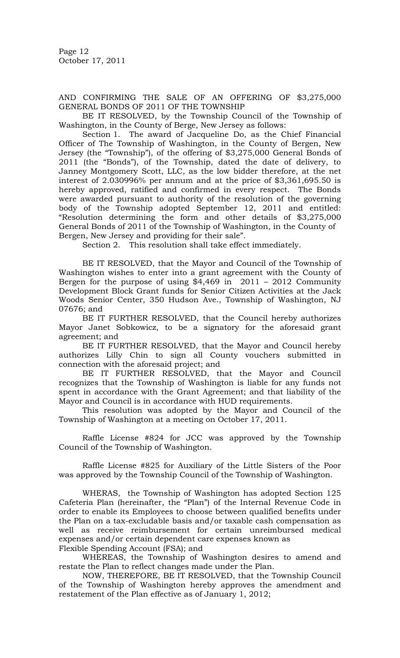Page 12 October 17, 2011

AND CONFIRMING THE SALE OF AN OFFERING OF \$3,275,000 GENERAL BONDS OF 2011 OF THE TOWNSHIP

BE IT RESOLVED, by the Township Council of the Township of Washington, in the County of Berge, New Jersey as follows:

Section 1. The award of Jacqueline Do, as the Chief Financial Officer of The Township of Washington, in the County of Bergen, New Jersey (the "Township"), of the offering of \$3,275,000 General Bonds of 2011 (the "Bonds"), of the Township, dated the date of delivery, to Janney Montgomery Scott, LLC, as the low bidder therefore, at the net interest of 2.030996% per annum and at the price of \$3,361,695.50 is hereby approved, ratified and confirmed in every respect. The Bonds were awarded pursuant to authority of the resolution of the governing body of the Township adopted September 12, 2011 and entitled: "Resolution determining the form and other details of \$3,275,000 General Bonds of 2011 of the Township of Washington, in the County of Bergen, New Jersey and providing for their sale".

Section 2. This resolution shall take effect immediately.

BE IT RESOLVED, that the Mayor and Council of the Township of Washington wishes to enter into a grant agreement with the County of Bergen for the purpose of using \$4,469 in 2011 – 2012 Community Development Block Grant funds for Senior Citizen Activities at the Jack Woods Senior Center, 350 Hudson Ave., Township of Washington, NJ 07676; and

BE IT FURTHER RESOLVED, that the Council hereby authorizes Mayor Janet Sobkowicz, to be a signatory for the aforesaid grant agreement; and

BE IT FURTHER RESOLVED, that the Mayor and Council hereby authorizes Lilly Chin to sign all County vouchers submitted in connection with the aforesaid project; and

BE IT FURTHER RESOLVED, that the Mayor and Council recognizes that the Township of Washington is liable for any funds not spent in accordance with the Grant Agreement; and that liability of the Mayor and Council is in accordance with HUD requirements.

This resolution was adopted by the Mayor and Council of the Township of Washington at a meeting on October 17, 2011.

Raffle License #824 for JCC was approved by the Township Council of the Township of Washington.

Raffle License #825 for Auxiliary of the Little Sisters of the Poor was approved by the Township Council of the Township of Washington.

WHERAS, the Township of Washington has adopted Section 125 Cafeteria Plan (hereinafter, the "Plan") of the Internal Revenue Code in order to enable its Employees to choose between qualified benefits under the Plan on a tax-excludable basis and/or taxable cash compensation as well as receive reimbursement for certain unreimbursed medical expenses and/or certain dependent care expenses known as Flexible Spending Account (FSA); and

WHEREAS, the Township of Washington desires to amend and restate the Plan to reflect changes made under the Plan.

NOW, THEREFORE, BE IT RESOLVED, that the Township Council of the Township of Washington hereby approves the amendment and restatement of the Plan effective as of January 1, 2012;